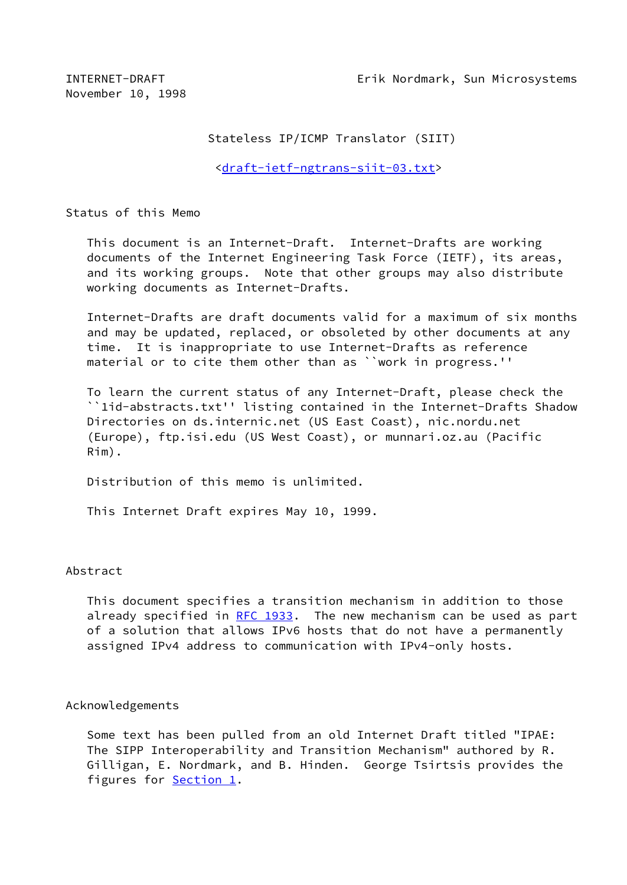INTERNET-DRAFT Erik Nordmark, Sun Microsystems

November 10, 1998

## Stateless IP/ICMP Translator (SIIT)

<[draft-ietf-ngtrans-siit-03.txt](https://datatracker.ietf.org/doc/pdf/draft-ietf-ngtrans-siit-03.txt)>

Status of this Memo

 This document is an Internet-Draft. Internet-Drafts are working documents of the Internet Engineering Task Force (IETF), its areas, and its working groups. Note that other groups may also distribute working documents as Internet-Drafts.

 Internet-Drafts are draft documents valid for a maximum of six months and may be updated, replaced, or obsoleted by other documents at any time. It is inappropriate to use Internet-Drafts as reference material or to cite them other than as ``work in progress.''

 To learn the current status of any Internet-Draft, please check the ``1id-abstracts.txt'' listing contained in the Internet-Drafts Shadow Directories on ds.internic.net (US East Coast), nic.nordu.net (Europe), ftp.isi.edu (US West Coast), or munnari.oz.au (Pacific Rim).

Distribution of this memo is unlimited.

This Internet Draft expires May 10, 1999.

## Abstract

 This document specifies a transition mechanism in addition to those already specified in [RFC 1933](https://datatracker.ietf.org/doc/pdf/rfc1933). The new mechanism can be used as part of a solution that allows IPv6 hosts that do not have a permanently assigned IPv4 address to communication with IPv4-only hosts.

## Acknowledgements

 Some text has been pulled from an old Internet Draft titled "IPAE: The SIPP Interoperability and Transition Mechanism" authored by R. Gilligan, E. Nordmark, and B. Hinden. George Tsirtsis provides the figures for **Section 1**.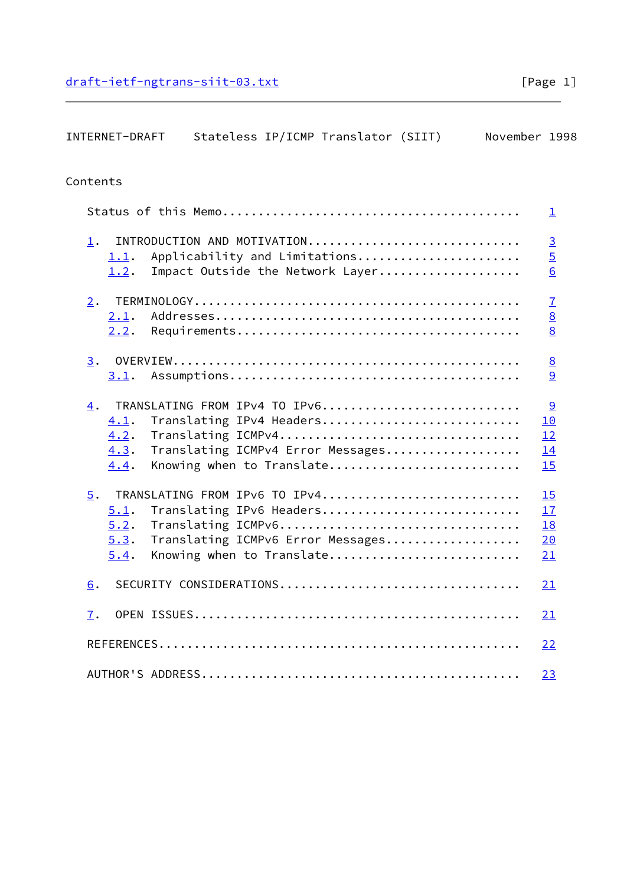| INTERNET-DRAFT<br>Stateless IP/ICMP Translator (SIIT)<br>November 1998                                                                                                                                |                                                     |
|-------------------------------------------------------------------------------------------------------------------------------------------------------------------------------------------------------|-----------------------------------------------------|
| Contents                                                                                                                                                                                              |                                                     |
|                                                                                                                                                                                                       | ı                                                   |
| INTRODUCTION AND MOTIVATION<br>$\mathbf 1$ .<br>Applicability and Limitations<br>1.1.<br>Impact Outside the Network Layer<br>1.2.                                                                     | $\overline{3}$<br>$\overline{5}$<br>$\underline{6}$ |
| 2.<br>2.1.<br>2.2.                                                                                                                                                                                    | $\mathbf{I}$<br>$\underline{8}$<br>8                |
| 3.<br>3.1.                                                                                                                                                                                            | $\underline{8}$<br>9                                |
| TRANSLATING FROM IPv4 TO IPv6<br>$\overline{4}$ .<br>4.1.<br>Translating IPv4 Headers<br>Translating ICMPv4<br>4.2.<br>4.3.<br>Translating ICMPv4 Error Messages<br>Knowing when to Translate<br>4.4. | 9<br>10<br>12<br>14<br>15                           |
| TRANSLATING FROM IPv6 TO IPv4<br>5.<br>Translating IPv6 Headers<br>5.1.<br>5.2.<br>5.3.<br>Translating ICMPv6 Error Messages<br>Knowing when to Translate<br>5.4.                                     | 15<br>17<br><b>18</b><br>20<br>21                   |
| SECURITY CONSIDERATIONS<br>6.                                                                                                                                                                         | 21                                                  |
| 7.                                                                                                                                                                                                    | 21                                                  |
|                                                                                                                                                                                                       | <u>22</u>                                           |
|                                                                                                                                                                                                       | 23                                                  |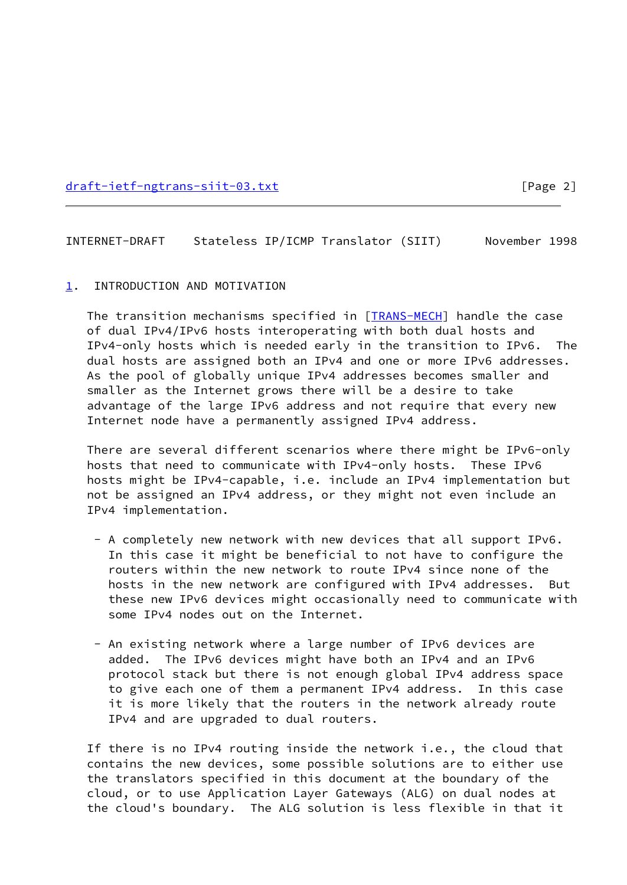[draft-ietf-ngtrans-siit-03.txt](https://datatracker.ietf.org/doc/pdf/draft-ietf-ngtrans-siit-03.txt) [Page 2]

<span id="page-2-1"></span>INTERNET-DRAFT Stateless IP/ICMP Translator (SIIT) November 1998

#### <span id="page-2-0"></span>[1](#page-2-0). INTRODUCTION AND MOTIVATION

 The transition mechanisms specified in [\[TRANS-MECH](#page-24-1)] handle the case of dual IPv4/IPv6 hosts interoperating with both dual hosts and IPv4-only hosts which is needed early in the transition to IPv6. The dual hosts are assigned both an IPv4 and one or more IPv6 addresses. As the pool of globally unique IPv4 addresses becomes smaller and smaller as the Internet grows there will be a desire to take advantage of the large IPv6 address and not require that every new Internet node have a permanently assigned IPv4 address.

 There are several different scenarios where there might be IPv6-only hosts that need to communicate with IPv4-only hosts. These IPv6 hosts might be IPv4-capable, i.e. include an IPv4 implementation but not be assigned an IPv4 address, or they might not even include an IPv4 implementation.

- A completely new network with new devices that all support IPv6. In this case it might be beneficial to not have to configure the routers within the new network to route IPv4 since none of the hosts in the new network are configured with IPv4 addresses. But these new IPv6 devices might occasionally need to communicate with some IPv4 nodes out on the Internet.
- An existing network where a large number of IPv6 devices are added. The IPv6 devices might have both an IPv4 and an IPv6 protocol stack but there is not enough global IPv4 address space to give each one of them a permanent IPv4 address. In this case it is more likely that the routers in the network already route IPv4 and are upgraded to dual routers.

 If there is no IPv4 routing inside the network i.e., the cloud that contains the new devices, some possible solutions are to either use the translators specified in this document at the boundary of the cloud, or to use Application Layer Gateways (ALG) on dual nodes at the cloud's boundary. The ALG solution is less flexible in that it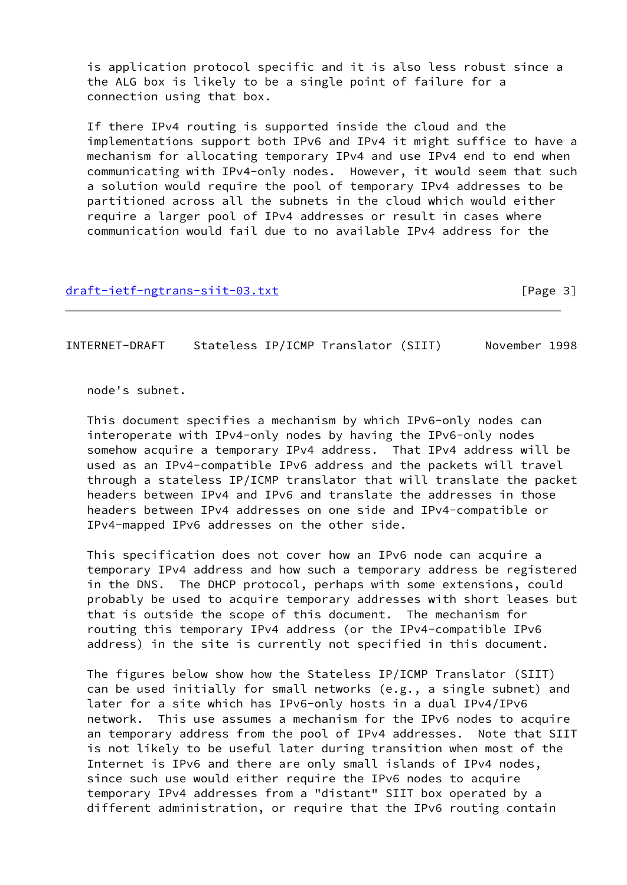is application protocol specific and it is also less robust since a the ALG box is likely to be a single point of failure for a connection using that box.

 If there IPv4 routing is supported inside the cloud and the implementations support both IPv6 and IPv4 it might suffice to have a mechanism for allocating temporary IPv4 and use IPv4 end to end when communicating with IPv4-only nodes. However, it would seem that such a solution would require the pool of temporary IPv4 addresses to be partitioned across all the subnets in the cloud which would either require a larger pool of IPv4 addresses or result in cases where communication would fail due to no available IPv4 address for the

## [draft-ietf-ngtrans-siit-03.txt](https://datatracker.ietf.org/doc/pdf/draft-ietf-ngtrans-siit-03.txt) [Page 3]

INTERNET-DRAFT Stateless IP/ICMP Translator (SIIT) November 1998

node's subnet.

 This document specifies a mechanism by which IPv6-only nodes can interoperate with IPv4-only nodes by having the IPv6-only nodes somehow acquire a temporary IPv4 address. That IPv4 address will be used as an IPv4-compatible IPv6 address and the packets will travel through a stateless IP/ICMP translator that will translate the packet headers between IPv4 and IPv6 and translate the addresses in those headers between IPv4 addresses on one side and IPv4-compatible or IPv4-mapped IPv6 addresses on the other side.

 This specification does not cover how an IPv6 node can acquire a temporary IPv4 address and how such a temporary address be registered in the DNS. The DHCP protocol, perhaps with some extensions, could probably be used to acquire temporary addresses with short leases but that is outside the scope of this document. The mechanism for routing this temporary IPv4 address (or the IPv4-compatible IPv6 address) in the site is currently not specified in this document.

 The figures below show how the Stateless IP/ICMP Translator (SIIT) can be used initially for small networks (e.g., a single subnet) and later for a site which has IPv6-only hosts in a dual IPv4/IPv6 network. This use assumes a mechanism for the IPv6 nodes to acquire an temporary address from the pool of IPv4 addresses. Note that SIIT is not likely to be useful later during transition when most of the Internet is IPv6 and there are only small islands of IPv4 nodes, since such use would either require the IPv6 nodes to acquire temporary IPv4 addresses from a "distant" SIIT box operated by a different administration, or require that the IPv6 routing contain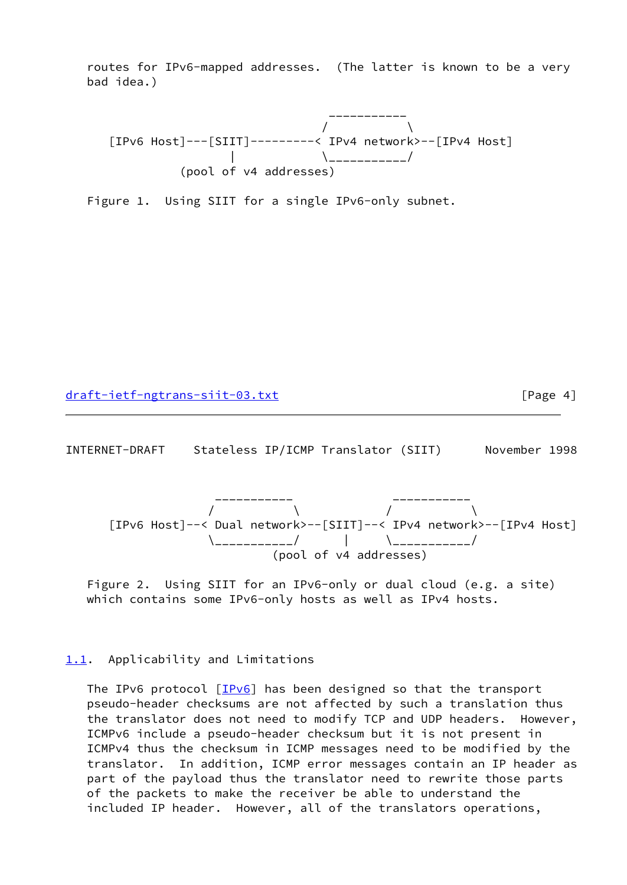routes for IPv6-mapped addresses. (The latter is known to be a very bad idea.)



Figure 1. Using SIIT for a single IPv6-only subnet.

[draft-ietf-ngtrans-siit-03.txt](https://datatracker.ietf.org/doc/pdf/draft-ietf-ngtrans-siit-03.txt) [Page 4]

<span id="page-4-1"></span>INTERNET-DRAFT Stateless IP/ICMP Translator (SIIT) November 1998



 Figure 2. Using SIIT for an IPv6-only or dual cloud (e.g. a site) which contains some IPv6-only hosts as well as IPv4 hosts.

#### <span id="page-4-0"></span>[1.1](#page-4-0). Applicability and Limitations

The IPv6 protocol [[IPv6\]](#page-24-2) has been designed so that the transport pseudo-header checksums are not affected by such a translation thus the translator does not need to modify TCP and UDP headers. However, ICMPv6 include a pseudo-header checksum but it is not present in ICMPv4 thus the checksum in ICMP messages need to be modified by the translator. In addition, ICMP error messages contain an IP header as part of the payload thus the translator need to rewrite those parts of the packets to make the receiver be able to understand the included IP header. However, all of the translators operations,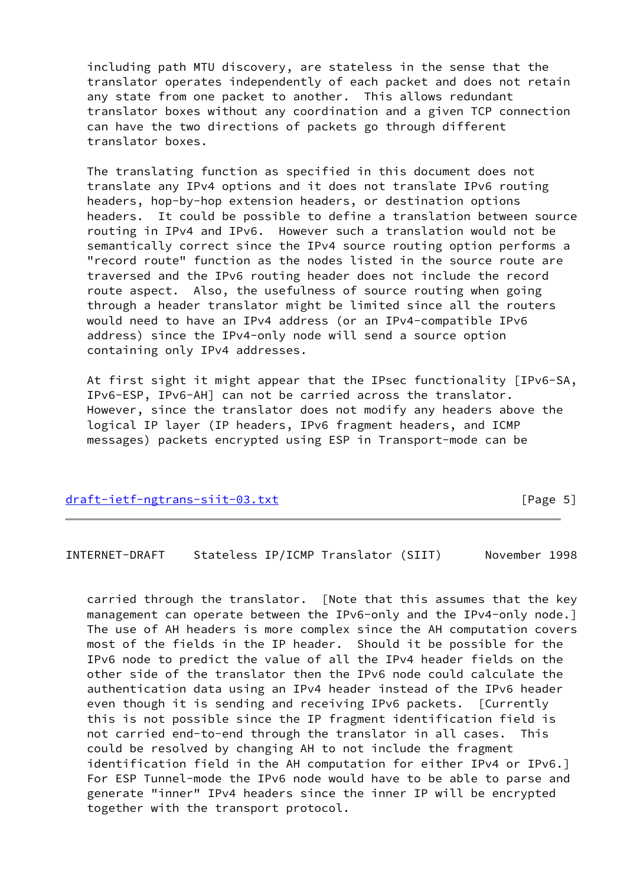including path MTU discovery, are stateless in the sense that the translator operates independently of each packet and does not retain any state from one packet to another. This allows redundant translator boxes without any coordination and a given TCP connection can have the two directions of packets go through different translator boxes.

 The translating function as specified in this document does not translate any IPv4 options and it does not translate IPv6 routing headers, hop-by-hop extension headers, or destination options headers. It could be possible to define a translation between source routing in IPv4 and IPv6. However such a translation would not be semantically correct since the IPv4 source routing option performs a "record route" function as the nodes listed in the source route are traversed and the IPv6 routing header does not include the record route aspect. Also, the usefulness of source routing when going through a header translator might be limited since all the routers would need to have an IPv4 address (or an IPv4-compatible IPv6 address) since the IPv4-only node will send a source option containing only IPv4 addresses.

 At first sight it might appear that the IPsec functionality [IPv6-SA, IPv6-ESP, IPv6-AH] can not be carried across the translator. However, since the translator does not modify any headers above the logical IP layer (IP headers, IPv6 fragment headers, and ICMP messages) packets encrypted using ESP in Transport-mode can be

[draft-ietf-ngtrans-siit-03.txt](https://datatracker.ietf.org/doc/pdf/draft-ietf-ngtrans-siit-03.txt) [Page 5]

<span id="page-5-0"></span>INTERNET-DRAFT Stateless IP/ICMP Translator (SIIT) November 1998

 carried through the translator. [Note that this assumes that the key management can operate between the IPv6-only and the IPv4-only node.] The use of AH headers is more complex since the AH computation covers most of the fields in the IP header. Should it be possible for the IPv6 node to predict the value of all the IPv4 header fields on the other side of the translator then the IPv6 node could calculate the authentication data using an IPv4 header instead of the IPv6 header even though it is sending and receiving IPv6 packets. [Currently this is not possible since the IP fragment identification field is not carried end-to-end through the translator in all cases. This could be resolved by changing AH to not include the fragment identification field in the AH computation for either IPv4 or IPv6.] For ESP Tunnel-mode the IPv6 node would have to be able to parse and generate "inner" IPv4 headers since the inner IP will be encrypted together with the transport protocol.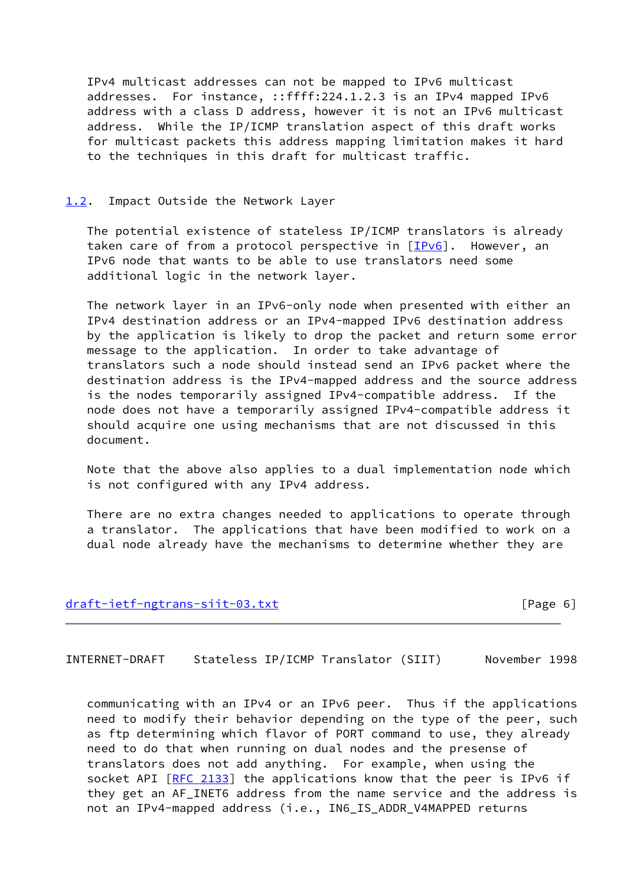IPv4 multicast addresses can not be mapped to IPv6 multicast addresses. For instance, ::ffff:224.1.2.3 is an IPv4 mapped IPv6 address with a class D address, however it is not an IPv6 multicast address. While the IP/ICMP translation aspect of this draft works for multicast packets this address mapping limitation makes it hard to the techniques in this draft for multicast traffic.

### <span id="page-6-0"></span>[1.2](#page-6-0). Impact Outside the Network Layer

 The potential existence of stateless IP/ICMP translators is already taken care of from a protocol perspective in  $[IPv6]$  $[IPv6]$ . However, an IPv6 node that wants to be able to use translators need some additional logic in the network layer.

 The network layer in an IPv6-only node when presented with either an IPv4 destination address or an IPv4-mapped IPv6 destination address by the application is likely to drop the packet and return some error message to the application. In order to take advantage of translators such a node should instead send an IPv6 packet where the destination address is the IPv4-mapped address and the source address is the nodes temporarily assigned IPv4-compatible address. If the node does not have a temporarily assigned IPv4-compatible address it should acquire one using mechanisms that are not discussed in this document.

 Note that the above also applies to a dual implementation node which is not configured with any IPv4 address.

 There are no extra changes needed to applications to operate through a translator. The applications that have been modified to work on a dual node already have the mechanisms to determine whether they are

#### [draft-ietf-ngtrans-siit-03.txt](https://datatracker.ietf.org/doc/pdf/draft-ietf-ngtrans-siit-03.txt) [Page 6]

<span id="page-6-1"></span>INTERNET-DRAFT Stateless IP/ICMP Translator (SIIT) November 1998

 communicating with an IPv4 or an IPv6 peer. Thus if the applications need to modify their behavior depending on the type of the peer, such as ftp determining which flavor of PORT command to use, they already need to do that when running on dual nodes and the presense of translators does not add anything. For example, when using the socket API [[RFC 2133\]](https://datatracker.ietf.org/doc/pdf/rfc2133) the applications know that the peer is IPv6 if they get an AF\_INET6 address from the name service and the address is not an IPv4-mapped address (i.e., IN6\_IS\_ADDR\_V4MAPPED returns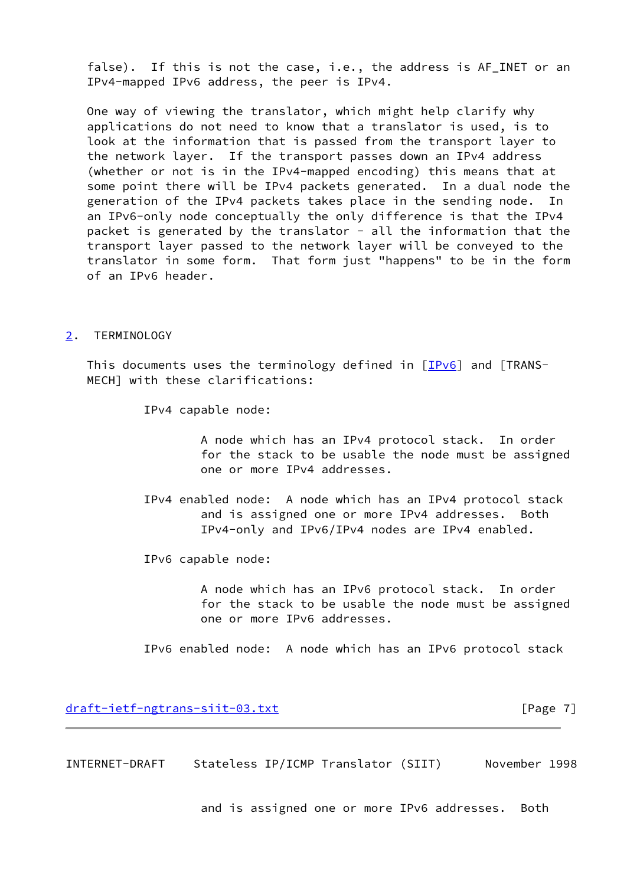false). If this is not the case, i.e., the address is AF\_INET or an IPv4-mapped IPv6 address, the peer is IPv4.

 One way of viewing the translator, which might help clarify why applications do not need to know that a translator is used, is to look at the information that is passed from the transport layer to the network layer. If the transport passes down an IPv4 address (whether or not is in the IPv4-mapped encoding) this means that at some point there will be IPv4 packets generated. In a dual node the generation of the IPv4 packets takes place in the sending node. In an IPv6-only node conceptually the only difference is that the IPv4 packet is generated by the translator - all the information that the transport layer passed to the network layer will be conveyed to the translator in some form. That form just "happens" to be in the form of an IPv6 header.

#### <span id="page-7-0"></span>[2](#page-7-0). TERMINOLOGY

This documents uses the terminology defined in  $[IPv6]$  $[IPv6]$  and  $[TRANS-$ MECH] with these clarifications:

IPv4 capable node:

 A node which has an IPv4 protocol stack. In order for the stack to be usable the node must be assigned one or more IPv4 addresses.

 IPv4 enabled node: A node which has an IPv4 protocol stack and is assigned one or more IPv4 addresses. Both IPv4-only and IPv6/IPv4 nodes are IPv4 enabled.

IPv6 capable node:

 A node which has an IPv6 protocol stack. In order for the stack to be usable the node must be assigned one or more IPv6 addresses.

IPv6 enabled node: A node which has an IPv6 protocol stack

[draft-ietf-ngtrans-siit-03.txt](https://datatracker.ietf.org/doc/pdf/draft-ietf-ngtrans-siit-03.txt) [Page 7]

<span id="page-7-1"></span>INTERNET-DRAFT Stateless IP/ICMP Translator (SIIT) November 1998

and is assigned one or more IPv6 addresses. Both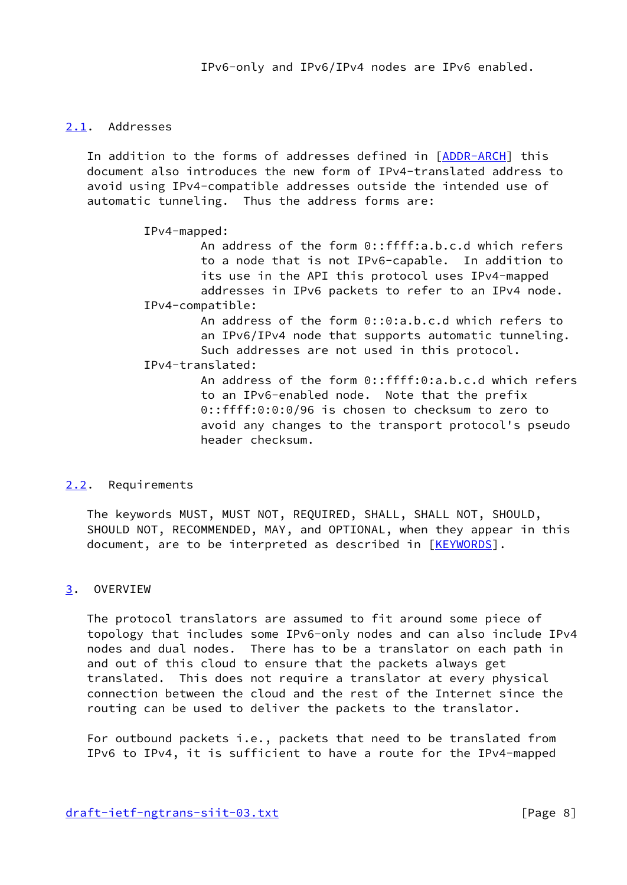# <span id="page-8-0"></span>[2.1](#page-8-0). Addresses

 In addition to the forms of addresses defined in [\[ADDR-ARCH\]](#page-24-3) this document also introduces the new form of IPv4-translated address to avoid using IPv4-compatible addresses outside the intended use of automatic tunneling. Thus the address forms are:

IPv4-mapped:

 An address of the form 0::ffff:a.b.c.d which refers to a node that is not IPv6-capable. In addition to its use in the API this protocol uses IPv4-mapped addresses in IPv6 packets to refer to an IPv4 node. IPv4-compatible: An address of the form 0::0:a.b.c.d which refers to an IPv6/IPv4 node that supports automatic tunneling. Such addresses are not used in this protocol. IPv4-translated: An address of the form 0::ffff:0:a.b.c.d which refers to an IPv6-enabled node. Note that the prefix 0::ffff:0:0:0/96 is chosen to checksum to zero to avoid any changes to the transport protocol's pseudo header checksum.

# <span id="page-8-1"></span>[2.2](#page-8-1). Requirements

 The keywords MUST, MUST NOT, REQUIRED, SHALL, SHALL NOT, SHOULD, SHOULD NOT, RECOMMENDED, MAY, and OPTIONAL, when they appear in this document, are to be interpreted as described in [\[KEYWORDS](#page-24-4)].

# <span id="page-8-2"></span>[3](#page-8-2). OVERVIEW

 The protocol translators are assumed to fit around some piece of topology that includes some IPv6-only nodes and can also include IPv4 nodes and dual nodes. There has to be a translator on each path in and out of this cloud to ensure that the packets always get translated. This does not require a translator at every physical connection between the cloud and the rest of the Internet since the routing can be used to deliver the packets to the translator.

 For outbound packets i.e., packets that need to be translated from IPv6 to IPv4, it is sufficient to have a route for the IPv4-mapped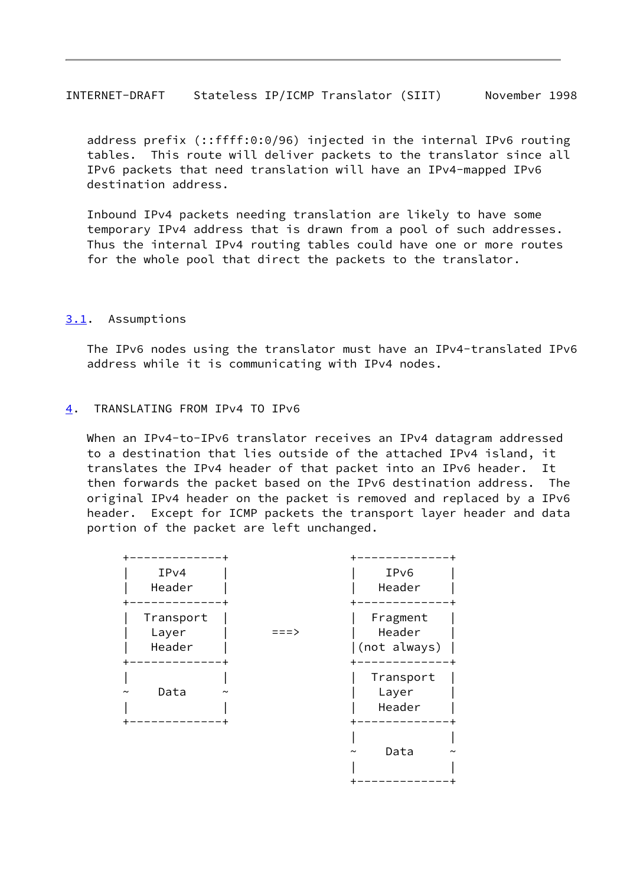<span id="page-9-1"></span>INTERNET-DRAFT Stateless IP/ICMP Translator (SIIT) November 1998

 address prefix (::ffff:0:0/96) injected in the internal IPv6 routing tables. This route will deliver packets to the translator since all IPv6 packets that need translation will have an IPv4-mapped IPv6 destination address.

 Inbound IPv4 packets needing translation are likely to have some temporary IPv4 address that is drawn from a pool of such addresses. Thus the internal IPv4 routing tables could have one or more routes for the whole pool that direct the packets to the translator.

## <span id="page-9-0"></span>[3.1](#page-9-0). Assumptions

 The IPv6 nodes using the translator must have an IPv4-translated IPv6 address while it is communicating with IPv4 nodes.

#### <span id="page-9-2"></span>[4](#page-9-2). TRANSLATING FROM IPv4 TO IPv6

When an IPv4-to-IPv6 translator receives an IPv4 datagram addressed to a destination that lies outside of the attached IPv4 island, it translates the IPv4 header of that packet into an IPv6 header. It then forwards the packet based on the IPv6 destination address. The original IPv4 header on the packet is removed and replaced by a IPv6 header. Except for ICMP packets the transport layer header and data portion of the packet are left unchanged.

| IPv4<br>Header                       | IPv6<br>Header                     |
|--------------------------------------|------------------------------------|
| Transport<br>Layer<br>===><br>Header | Fragment<br>Header<br>(not always) |
| Data<br>$\tilde{\phantom{a}}$        | Transport<br>Layer<br>Header       |
|                                      | Data                               |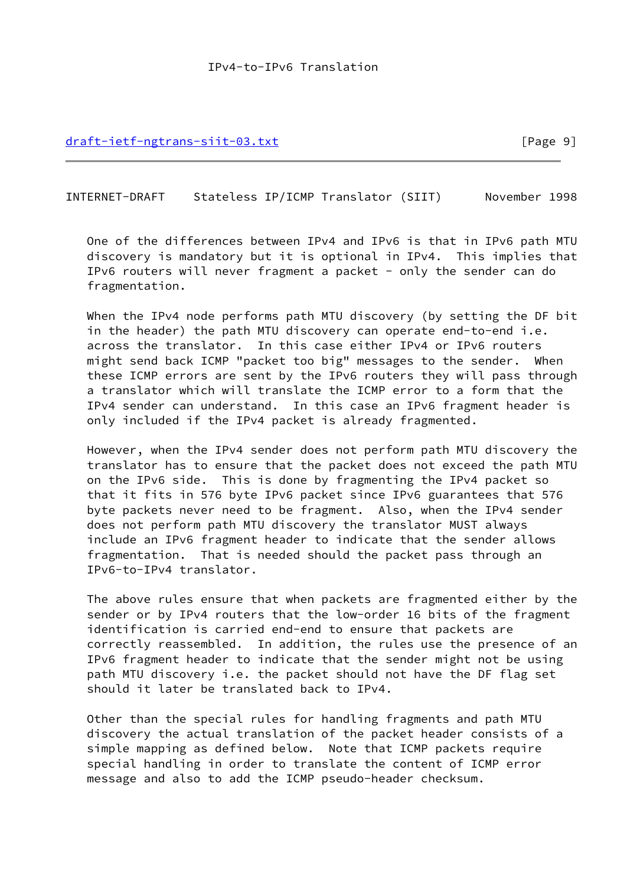[draft-ietf-ngtrans-siit-03.txt](https://datatracker.ietf.org/doc/pdf/draft-ietf-ngtrans-siit-03.txt) [Page 9]

<span id="page-10-0"></span>INTERNET-DRAFT Stateless IP/ICMP Translator (SIIT) November 1998

 One of the differences between IPv4 and IPv6 is that in IPv6 path MTU discovery is mandatory but it is optional in IPv4. This implies that IPv6 routers will never fragment a packet - only the sender can do fragmentation.

 When the IPv4 node performs path MTU discovery (by setting the DF bit in the header) the path MTU discovery can operate end-to-end i.e. across the translator. In this case either IPv4 or IPv6 routers might send back ICMP "packet too big" messages to the sender. When these ICMP errors are sent by the IPv6 routers they will pass through a translator which will translate the ICMP error to a form that the IPv4 sender can understand. In this case an IPv6 fragment header is only included if the IPv4 packet is already fragmented.

 However, when the IPv4 sender does not perform path MTU discovery the translator has to ensure that the packet does not exceed the path MTU on the IPv6 side. This is done by fragmenting the IPv4 packet so that it fits in 576 byte IPv6 packet since IPv6 guarantees that 576 byte packets never need to be fragment. Also, when the IPv4 sender does not perform path MTU discovery the translator MUST always include an IPv6 fragment header to indicate that the sender allows fragmentation. That is needed should the packet pass through an IPv6-to-IPv4 translator.

 The above rules ensure that when packets are fragmented either by the sender or by IPv4 routers that the low-order 16 bits of the fragment identification is carried end-end to ensure that packets are correctly reassembled. In addition, the rules use the presence of an IPv6 fragment header to indicate that the sender might not be using path MTU discovery i.e. the packet should not have the DF flag set should it later be translated back to IPv4.

 Other than the special rules for handling fragments and path MTU discovery the actual translation of the packet header consists of a simple mapping as defined below. Note that ICMP packets require special handling in order to translate the content of ICMP error message and also to add the ICMP pseudo-header checksum.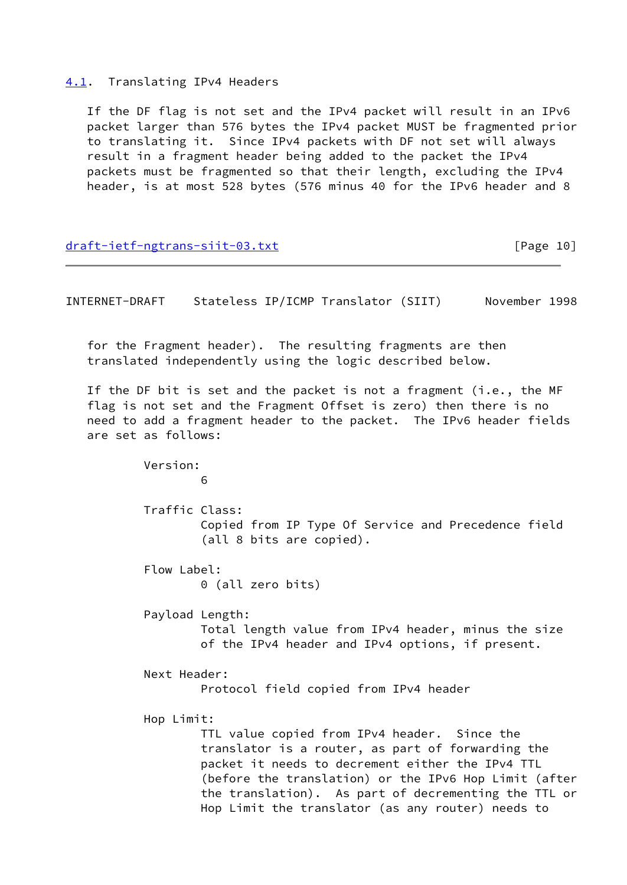<span id="page-11-0"></span>[4.1](#page-11-0). Translating IPv4 Headers

 If the DF flag is not set and the IPv4 packet will result in an IPv6 packet larger than 576 bytes the IPv4 packet MUST be fragmented prior to translating it. Since IPv4 packets with DF not set will always result in a fragment header being added to the packet the IPv4 packets must be fragmented so that their length, excluding the IPv4 header, is at most 528 bytes (576 minus 40 for the IPv6 header and 8

[draft-ietf-ngtrans-siit-03.txt](https://datatracker.ietf.org/doc/pdf/draft-ietf-ngtrans-siit-03.txt) [Page 10]

INTERNET-DRAFT Stateless IP/ICMP Translator (SIIT) November 1998

 for the Fragment header). The resulting fragments are then translated independently using the logic described below.

 If the DF bit is set and the packet is not a fragment (i.e., the MF flag is not set and the Fragment Offset is zero) then there is no need to add a fragment header to the packet. The IPv6 header fields are set as follows:

 Version:  $\sim$  60  $\sim$  60  $\sim$  60  $\sim$  60 Traffic Class: Copied from IP Type Of Service and Precedence field (all 8 bits are copied). Flow Label: 0 (all zero bits) Payload Length: Total length value from IPv4 header, minus the size of the IPv4 header and IPv4 options, if present. Next Header: Protocol field copied from IPv4 header Hop Limit: TTL value copied from IPv4 header. Since the translator is a router, as part of forwarding the packet it needs to decrement either the IPv4 TTL (before the translation) or the IPv6 Hop Limit (after the translation). As part of decrementing the TTL or Hop Limit the translator (as any router) needs to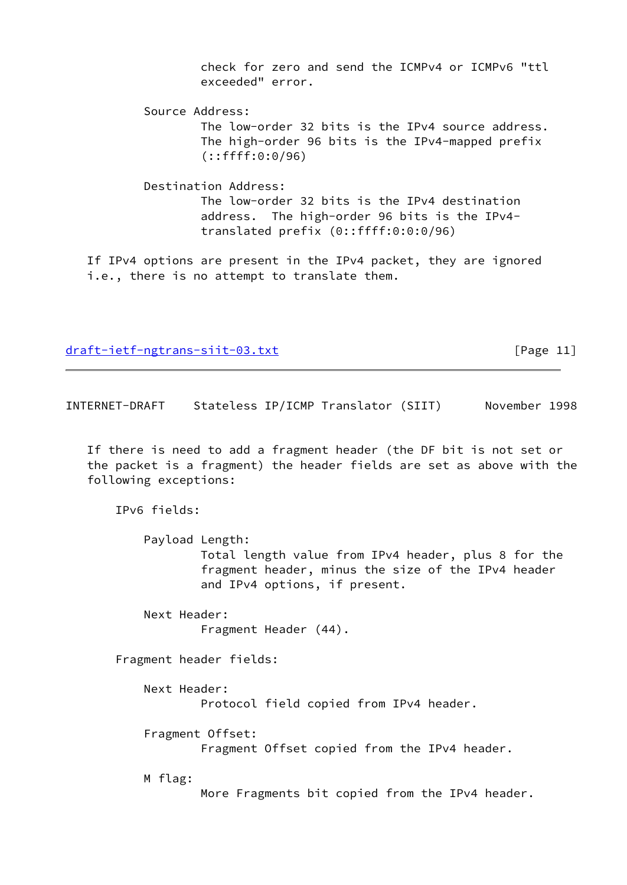check for zero and send the ICMPv4 or ICMPv6 "ttl exceeded" error.

 Source Address: The low-order 32 bits is the IPv4 source address. The high-order 96 bits is the IPv4-mapped prefix (::ffff:0:0/96)

 Destination Address: The low-order 32 bits is the IPv4 destination address. The high-order 96 bits is the IPv4 translated prefix (0::ffff:0:0:0/96)

 If IPv4 options are present in the IPv4 packet, they are ignored i.e., there is no attempt to translate them.

[draft-ietf-ngtrans-siit-03.txt](https://datatracker.ietf.org/doc/pdf/draft-ietf-ngtrans-siit-03.txt) [Page 11]

<span id="page-12-0"></span>INTERNET-DRAFT Stateless IP/ICMP Translator (SIIT) November 1998

 If there is need to add a fragment header (the DF bit is not set or the packet is a fragment) the header fields are set as above with the following exceptions:

IPv6 fields:

 Payload Length: Total length value from IPv4 header, plus 8 for the fragment header, minus the size of the IPv4 header and IPv4 options, if present.

 Next Header: Fragment Header (44).

Fragment header fields:

Next Header:

Protocol field copied from IPv4 header.

Fragment Offset:

Fragment Offset copied from the IPv4 header.

M flag:

More Fragments bit copied from the IPv4 header.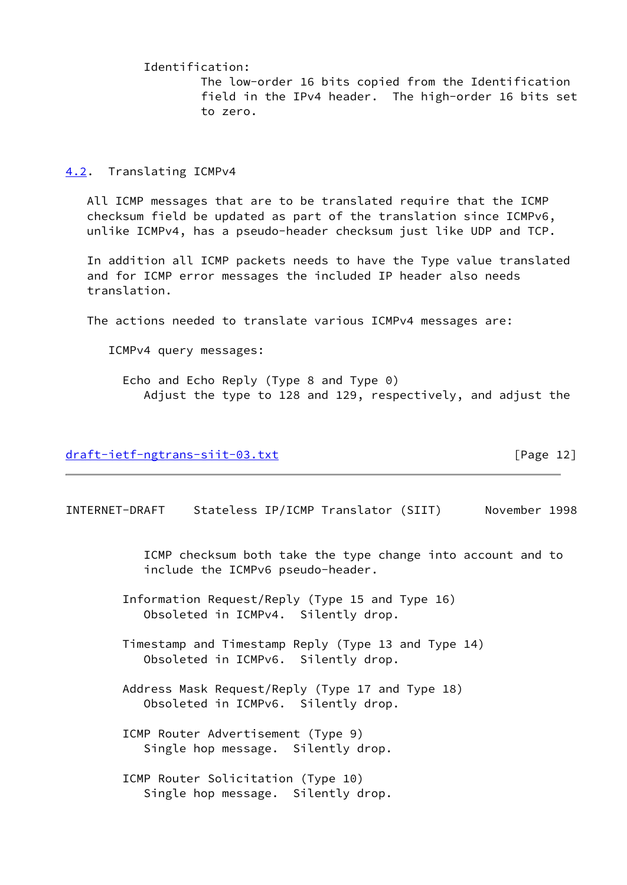Identification: The low-order 16 bits copied from the Identification field in the IPv4 header. The high-order 16 bits set to zero.

#### <span id="page-13-0"></span>[4.2](#page-13-0). Translating ICMPv4

 All ICMP messages that are to be translated require that the ICMP checksum field be updated as part of the translation since ICMPv6, unlike ICMPv4, has a pseudo-header checksum just like UDP and TCP.

 In addition all ICMP packets needs to have the Type value translated and for ICMP error messages the included IP header also needs translation.

The actions needed to translate various ICMPv4 messages are:

ICMPv4 query messages:

 Echo and Echo Reply (Type 8 and Type 0) Adjust the type to 128 and 129, respectively, and adjust the

### [draft-ietf-ngtrans-siit-03.txt](https://datatracker.ietf.org/doc/pdf/draft-ietf-ngtrans-siit-03.txt) [Page 12]

INTERNET-DRAFT Stateless IP/ICMP Translator (SIIT) November 1998

 ICMP checksum both take the type change into account and to include the ICMPv6 pseudo-header.

 Information Request/Reply (Type 15 and Type 16) Obsoleted in ICMPv4. Silently drop.

 Timestamp and Timestamp Reply (Type 13 and Type 14) Obsoleted in ICMPv6. Silently drop.

 Address Mask Request/Reply (Type 17 and Type 18) Obsoleted in ICMPv6. Silently drop.

 ICMP Router Advertisement (Type 9) Single hop message. Silently drop.

 ICMP Router Solicitation (Type 10) Single hop message. Silently drop.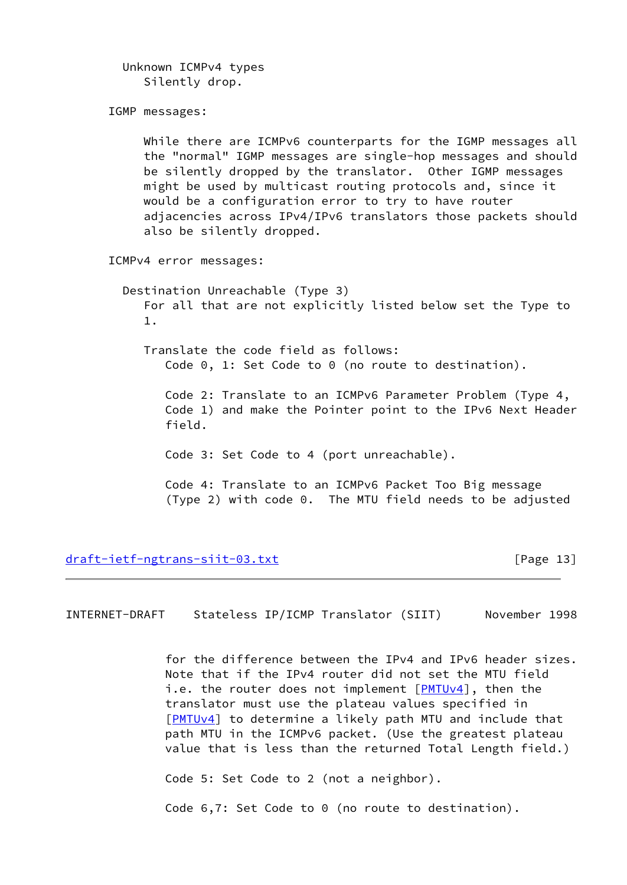Unknown ICMPv4 types Silently drop.

IGMP messages:

 While there are ICMPv6 counterparts for the IGMP messages all the "normal" IGMP messages are single-hop messages and should be silently dropped by the translator. Other IGMP messages might be used by multicast routing protocols and, since it would be a configuration error to try to have router adjacencies across IPv4/IPv6 translators those packets should also be silently dropped.

ICMPv4 error messages:

 Destination Unreachable (Type 3) For all that are not explicitly listed below set the Type to 1.

 Translate the code field as follows: Code 0, 1: Set Code to 0 (no route to destination).

 Code 2: Translate to an ICMPv6 Parameter Problem (Type 4, Code 1) and make the Pointer point to the IPv6 Next Header field.

Code 3: Set Code to 4 (port unreachable).

 Code 4: Translate to an ICMPv6 Packet Too Big message (Type 2) with code 0. The MTU field needs to be adjusted

[draft-ietf-ngtrans-siit-03.txt](https://datatracker.ietf.org/doc/pdf/draft-ietf-ngtrans-siit-03.txt) [Page 13]

<span id="page-14-0"></span>INTERNET-DRAFT Stateless IP/ICMP Translator (SIIT) November 1998

 for the difference between the IPv4 and IPv6 header sizes. Note that if the IPv4 router did not set the MTU field i.e. the router does not implement [[PMTUv4](#page-25-0)], then the translator must use the plateau values specified in [[PMTUv4](#page-25-0)] to determine a likely path MTU and include that path MTU in the ICMPv6 packet. (Use the greatest plateau value that is less than the returned Total Length field.)

Code 5: Set Code to 2 (not a neighbor).

Code 6,7: Set Code to 0 (no route to destination).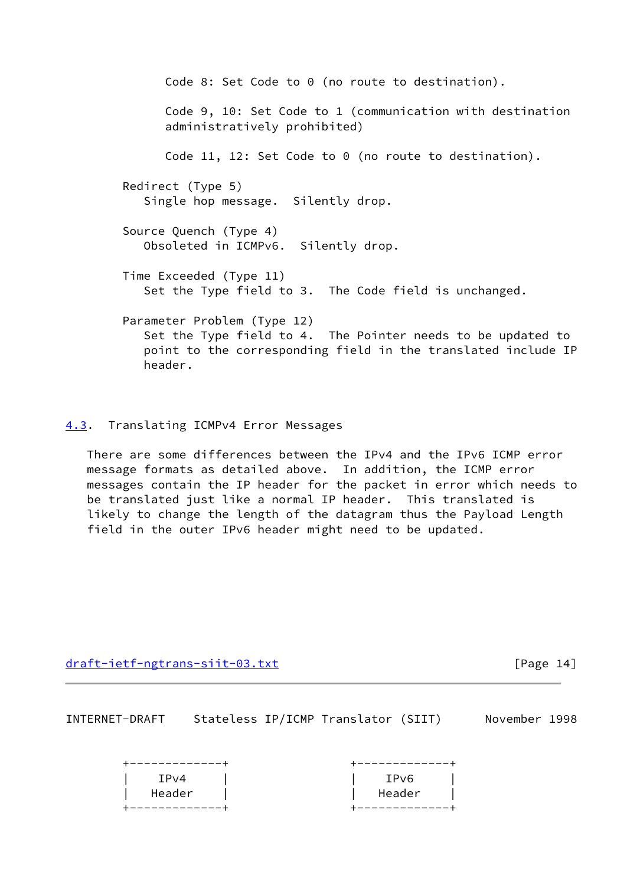Code 8: Set Code to 0 (no route to destination). Code 9, 10: Set Code to 1 (communication with destination administratively prohibited) Code 11, 12: Set Code to 0 (no route to destination). Redirect (Type 5) Single hop message. Silently drop. Source Quench (Type 4) Obsoleted in ICMPv6. Silently drop. Time Exceeded (Type 11) Set the Type field to 3. The Code field is unchanged. Parameter Problem (Type 12) Set the Type field to 4. The Pointer needs to be updated to point to the corresponding field in the translated include IP header.

## <span id="page-15-0"></span>[4.3](#page-15-0). Translating ICMPv4 Error Messages

 There are some differences between the IPv4 and the IPv6 ICMP error message formats as detailed above. In addition, the ICMP error messages contain the IP header for the packet in error which needs to be translated just like a normal IP header. This translated is likely to change the length of the datagram thus the Payload Length field in the outer IPv6 header might need to be updated.

[draft-ietf-ngtrans-siit-03.txt](https://datatracker.ietf.org/doc/pdf/draft-ietf-ngtrans-siit-03.txt) [Page 14]

<span id="page-15-1"></span>

| INTERNET-DRAFT |  | Stateless IP/ICMP Translator (SIIT) | November 1998 |  |
|----------------|--|-------------------------------------|---------------|--|
|                |  |                                     |               |  |

| IPv4   | IPv6   |
|--------|--------|
| Header | Header |
|        |        |
|        |        |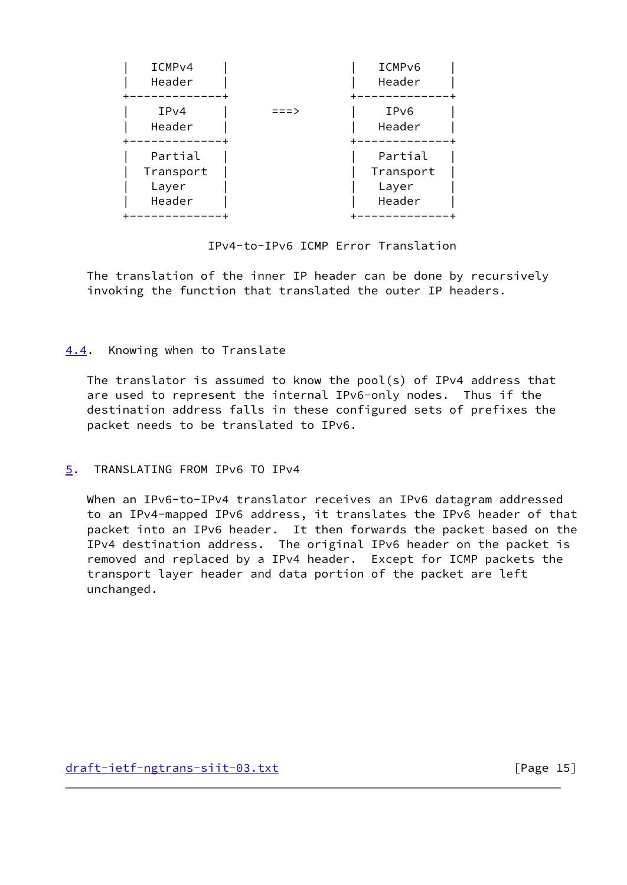| ICMP <sub>v4</sub><br>Header            |      | ICMP <sub>v6</sub><br>Header            |
|-----------------------------------------|------|-----------------------------------------|
| IPv4<br>Header                          | ===> | IPv6<br>Header                          |
| Partial<br>Transport<br>Layer<br>Header |      | Partial<br>Transport<br>Layer<br>Header |

IPv4-to-IPv6 ICMP Error Translation

 The translation of the inner IP header can be done by recursively invoking the function that translated the outer IP headers.

# <span id="page-16-0"></span>[4.4](#page-16-0). Knowing when to Translate

 The translator is assumed to know the pool(s) of IPv4 address that are used to represent the internal IPv6-only nodes. Thus if the destination address falls in these configured sets of prefixes the packet needs to be translated to IPv6.

# <span id="page-16-1"></span>[5](#page-16-1). TRANSLATING FROM IPv6 TO IPv4

When an IPv6-to-IPv4 translator receives an IPv6 datagram addressed to an IPv4-mapped IPv6 address, it translates the IPv6 header of that packet into an IPv6 header. It then forwards the packet based on the IPv4 destination address. The original IPv6 header on the packet is removed and replaced by a IPv4 header. Except for ICMP packets the transport layer header and data portion of the packet are left unchanged.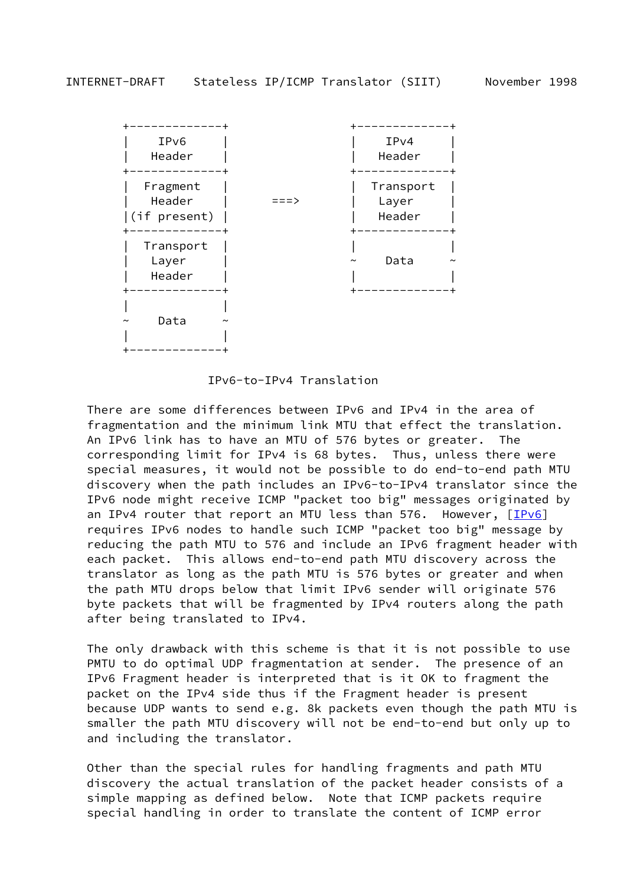

IPv6-to-IPv4 Translation

 There are some differences between IPv6 and IPv4 in the area of fragmentation and the minimum link MTU that effect the translation. An IPv6 link has to have an MTU of 576 bytes or greater. The corresponding limit for IPv4 is 68 bytes. Thus, unless there were special measures, it would not be possible to do end-to-end path MTU discovery when the path includes an IPv6-to-IPv4 translator since the IPv6 node might receive ICMP "packet too big" messages originated by an IPv4 router that report an MTU less than 576. However,  $[IPv6]$  $[IPv6]$  requires IPv6 nodes to handle such ICMP "packet too big" message by reducing the path MTU to 576 and include an IPv6 fragment header with each packet. This allows end-to-end path MTU discovery across the translator as long as the path MTU is 576 bytes or greater and when the path MTU drops below that limit IPv6 sender will originate 576 byte packets that will be fragmented by IPv4 routers along the path after being translated to IPv4.

 The only drawback with this scheme is that it is not possible to use PMTU to do optimal UDP fragmentation at sender. The presence of an IPv6 Fragment header is interpreted that is it OK to fragment the packet on the IPv4 side thus if the Fragment header is present because UDP wants to send e.g. 8k packets even though the path MTU is smaller the path MTU discovery will not be end-to-end but only up to and including the translator.

 Other than the special rules for handling fragments and path MTU discovery the actual translation of the packet header consists of a simple mapping as defined below. Note that ICMP packets require special handling in order to translate the content of ICMP error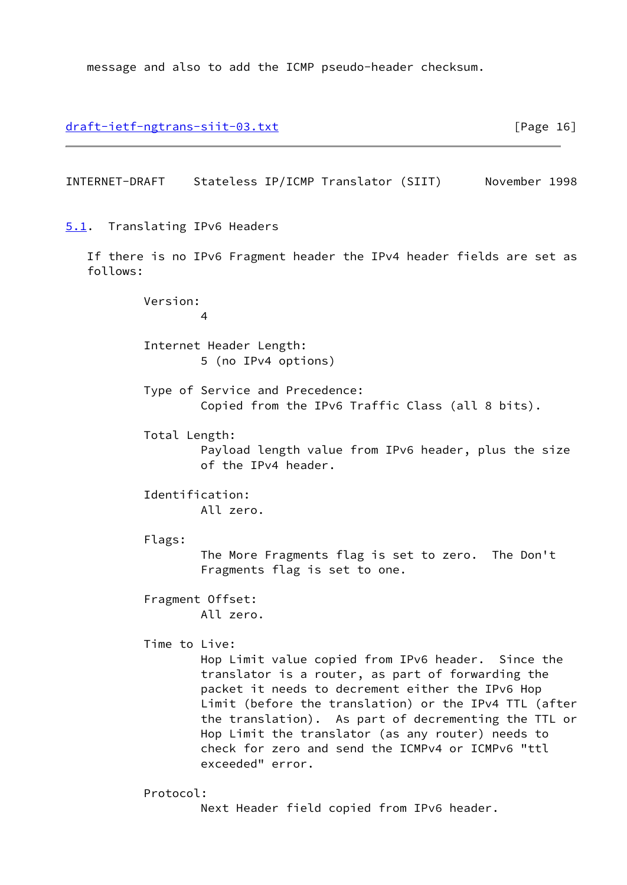message and also to add the ICMP pseudo-header checksum.

<span id="page-18-1"></span><span id="page-18-0"></span>[draft-ietf-ngtrans-siit-03.txt](https://datatracker.ietf.org/doc/pdf/draft-ietf-ngtrans-siit-03.txt) [Page 16] INTERNET-DRAFT Stateless IP/ICMP Translator (SIIT) November 1998 [5.1](#page-18-0). Translating IPv6 Headers If there is no IPv6 Fragment header the IPv4 header fields are set as follows: Version: 4 Internet Header Length: 5 (no IPv4 options) Type of Service and Precedence: Copied from the IPv6 Traffic Class (all 8 bits). Total Length: Payload length value from IPv6 header, plus the size of the IPv4 header. Identification: All zero. Flags: The More Fragments flag is set to zero. The Don't Fragments flag is set to one. Fragment Offset: All zero. Time to Live: Hop Limit value copied from IPv6 header. Since the translator is a router, as part of forwarding the packet it needs to decrement either the IPv6 Hop Limit (before the translation) or the IPv4 TTL (after the translation). As part of decrementing the TTL or Hop Limit the translator (as any router) needs to check for zero and send the ICMPv4 or ICMPv6 "ttl exceeded" error. Protocol: Next Header field copied from IPv6 header.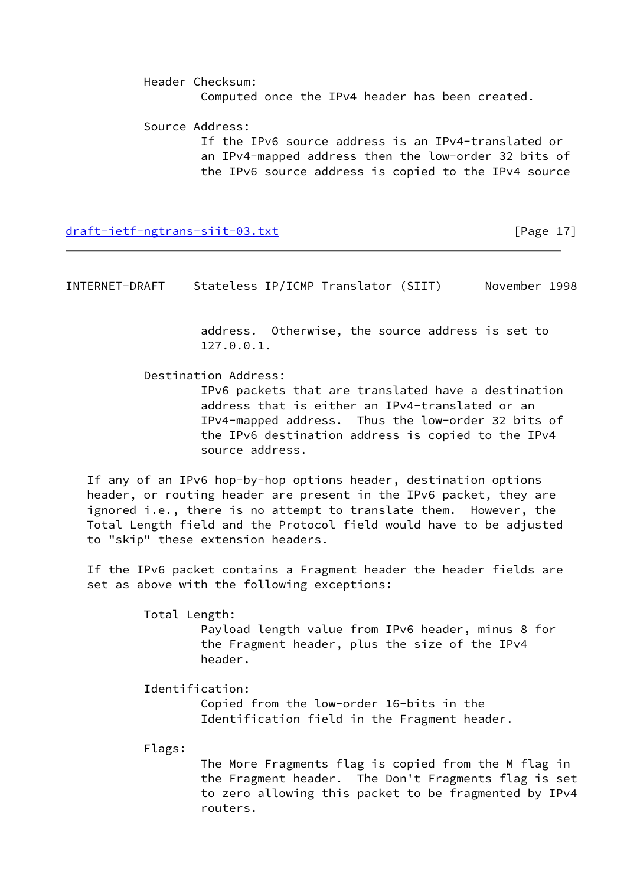Header Checksum: Computed once the IPv4 header has been created.

 Source Address: If the IPv6 source address is an IPv4-translated or an IPv4-mapped address then the low-order 32 bits of the IPv6 source address is copied to the IPv4 source

[draft-ietf-ngtrans-siit-03.txt](https://datatracker.ietf.org/doc/pdf/draft-ietf-ngtrans-siit-03.txt) [Page 17]

<span id="page-19-0"></span>INTERNET-DRAFT Stateless IP/ICMP Translator (SIIT) November 1998

 address. Otherwise, the source address is set to 127.0.0.1.

Destination Address:

 IPv6 packets that are translated have a destination address that is either an IPv4-translated or an IPv4-mapped address. Thus the low-order 32 bits of the IPv6 destination address is copied to the IPv4 source address.

 If any of an IPv6 hop-by-hop options header, destination options header, or routing header are present in the IPv6 packet, they are ignored i.e., there is no attempt to translate them. However, the Total Length field and the Protocol field would have to be adjusted to "skip" these extension headers.

 If the IPv6 packet contains a Fragment header the header fields are set as above with the following exceptions:

Total Length:

 Payload length value from IPv6 header, minus 8 for the Fragment header, plus the size of the IPv4 header.

Identification:

 Copied from the low-order 16-bits in the Identification field in the Fragment header.

Flags:

 The More Fragments flag is copied from the M flag in the Fragment header. The Don't Fragments flag is set to zero allowing this packet to be fragmented by IPv4 routers.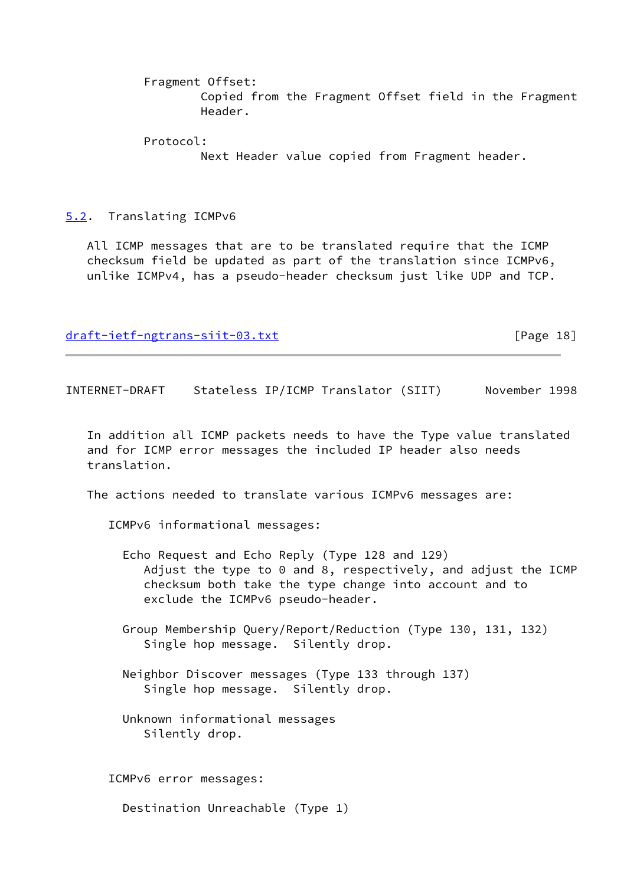Fragment Offset:

 Copied from the Fragment Offset field in the Fragment Header.

Protocol:

Next Header value copied from Fragment header.

<span id="page-20-0"></span>[5.2](#page-20-0). Translating ICMPv6

 All ICMP messages that are to be translated require that the ICMP checksum field be updated as part of the translation since ICMPv6, unlike ICMPv4, has a pseudo-header checksum just like UDP and TCP.

[draft-ietf-ngtrans-siit-03.txt](https://datatracker.ietf.org/doc/pdf/draft-ietf-ngtrans-siit-03.txt) [Page 18]

INTERNET-DRAFT Stateless IP/ICMP Translator (SIIT) November 1998

 In addition all ICMP packets needs to have the Type value translated and for ICMP error messages the included IP header also needs translation.

The actions needed to translate various ICMPv6 messages are:

ICMPv6 informational messages:

- Echo Request and Echo Reply (Type 128 and 129) Adjust the type to 0 and 8, respectively, and adjust the ICMP checksum both take the type change into account and to exclude the ICMPv6 pseudo-header.
- Group Membership Query/Report/Reduction (Type 130, 131, 132) Single hop message. Silently drop.
- Neighbor Discover messages (Type 133 through 137) Single hop message. Silently drop.
- Unknown informational messages Silently drop.

ICMPv6 error messages:

Destination Unreachable (Type 1)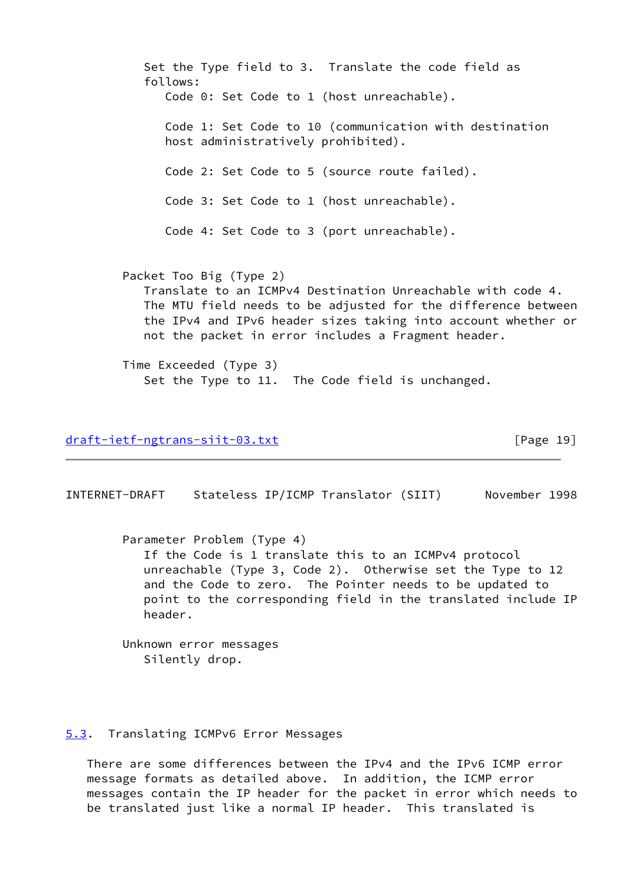Set the Type field to 3. Translate the code field as follows: Code 0: Set Code to 1 (host unreachable). Code 1: Set Code to 10 (communication with destination host administratively prohibited). Code 2: Set Code to 5 (source route failed). Code 3: Set Code to 1 (host unreachable). Code 4: Set Code to 3 (port unreachable). Packet Too Big (Type 2) Translate to an ICMPv4 Destination Unreachable with code 4. The MTU field needs to be adjusted for the difference between the IPv4 and IPv6 header sizes taking into account whether or not the packet in error includes a Fragment header. Time Exceeded (Type 3) Set the Type to 11. The Code field is unchanged.

[draft-ietf-ngtrans-siit-03.txt](https://datatracker.ietf.org/doc/pdf/draft-ietf-ngtrans-siit-03.txt) [Page 19]

<span id="page-21-1"></span>INTERNET-DRAFT Stateless IP/ICMP Translator (SIIT) November 1998

 Parameter Problem (Type 4) If the Code is 1 translate this to an ICMPv4 protocol unreachable (Type 3, Code 2). Otherwise set the Type to 12 and the Code to zero. The Pointer needs to be updated to point to the corresponding field in the translated include IP header.

 Unknown error messages Silently drop.

## <span id="page-21-0"></span>[5.3](#page-21-0). Translating ICMPv6 Error Messages

 There are some differences between the IPv4 and the IPv6 ICMP error message formats as detailed above. In addition, the ICMP error messages contain the IP header for the packet in error which needs to be translated just like a normal IP header. This translated is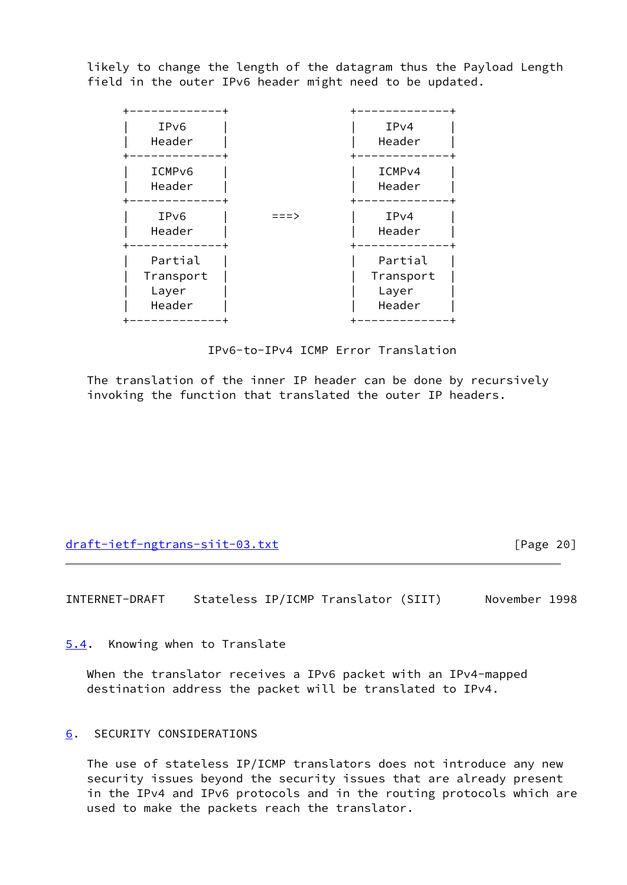likely to change the length of the datagram thus the Payload Length field in the outer IPv6 header might need to be updated.

| IPv6<br>Header                          |      | IPv4<br>Header                          |
|-----------------------------------------|------|-----------------------------------------|
| ICMP <sub>v6</sub><br>Header            |      | ICMP <sub>V4</sub><br>Header            |
| IPv6<br>Header                          | ニニニゝ | IPv4<br>Header                          |
| Partial<br>Transport<br>Layer<br>Header |      | Partial<br>Transport<br>Layer<br>Header |

IPv6-to-IPv4 ICMP Error Translation

 The translation of the inner IP header can be done by recursively invoking the function that translated the outer IP headers.

[draft-ietf-ngtrans-siit-03.txt](https://datatracker.ietf.org/doc/pdf/draft-ietf-ngtrans-siit-03.txt) [Page 20]

<span id="page-22-1"></span>INTERNET-DRAFT Stateless IP/ICMP Translator (SIIT) November 1998

<span id="page-22-0"></span>[5.4](#page-22-0). Knowing when to Translate

 When the translator receives a IPv6 packet with an IPv4-mapped destination address the packet will be translated to IPv4.

# <span id="page-22-2"></span>[6](#page-22-2). SECURITY CONSIDERATIONS

 The use of stateless IP/ICMP translators does not introduce any new security issues beyond the security issues that are already present in the IPv4 and IPv6 protocols and in the routing protocols which are used to make the packets reach the translator.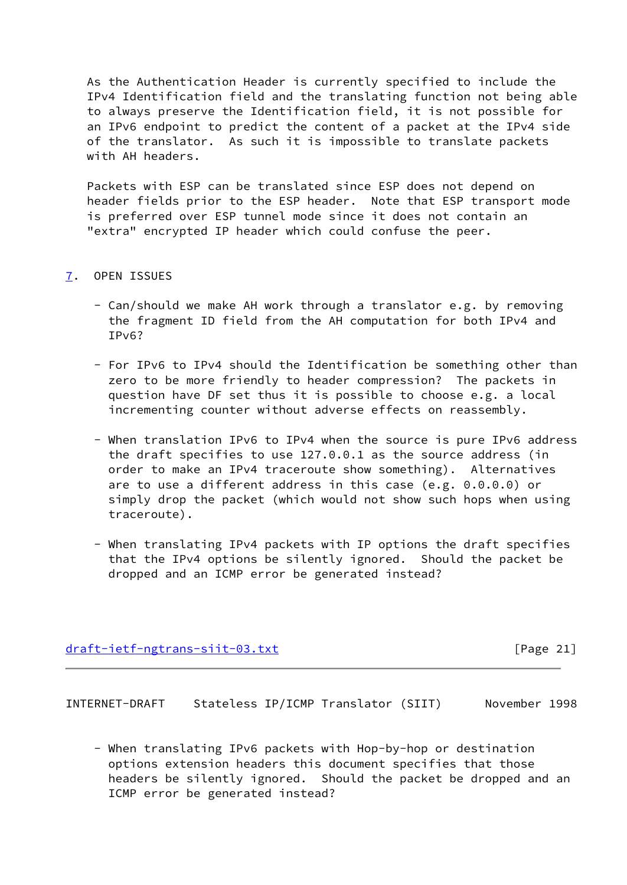As the Authentication Header is currently specified to include the IPv4 Identification field and the translating function not being able to always preserve the Identification field, it is not possible for an IPv6 endpoint to predict the content of a packet at the IPv4 side of the translator. As such it is impossible to translate packets with AH headers.

 Packets with ESP can be translated since ESP does not depend on header fields prior to the ESP header. Note that ESP transport mode is preferred over ESP tunnel mode since it does not contain an "extra" encrypted IP header which could confuse the peer.

## <span id="page-23-0"></span>[7](#page-23-0). OPEN ISSUES

- Can/should we make AH work through a translator e.g. by removing the fragment ID field from the AH computation for both IPv4 and IPv6?
- For IPv6 to IPv4 should the Identification be something other than zero to be more friendly to header compression? The packets in question have DF set thus it is possible to choose e.g. a local incrementing counter without adverse effects on reassembly.
- When translation IPv6 to IPv4 when the source is pure IPv6 address the draft specifies to use 127.0.0.1 as the source address (in order to make an IPv4 traceroute show something). Alternatives are to use a different address in this case (e.g. 0.0.0.0) or simply drop the packet (which would not show such hops when using traceroute).
- When translating IPv4 packets with IP options the draft specifies that the IPv4 options be silently ignored. Should the packet be dropped and an ICMP error be generated instead?

## [draft-ietf-ngtrans-siit-03.txt](https://datatracker.ietf.org/doc/pdf/draft-ietf-ngtrans-siit-03.txt) [Page 21]

<span id="page-23-1"></span>INTERNET-DRAFT Stateless IP/ICMP Translator (SIIT) November 1998

 - When translating IPv6 packets with Hop-by-hop or destination options extension headers this document specifies that those headers be silently ignored. Should the packet be dropped and an ICMP error be generated instead?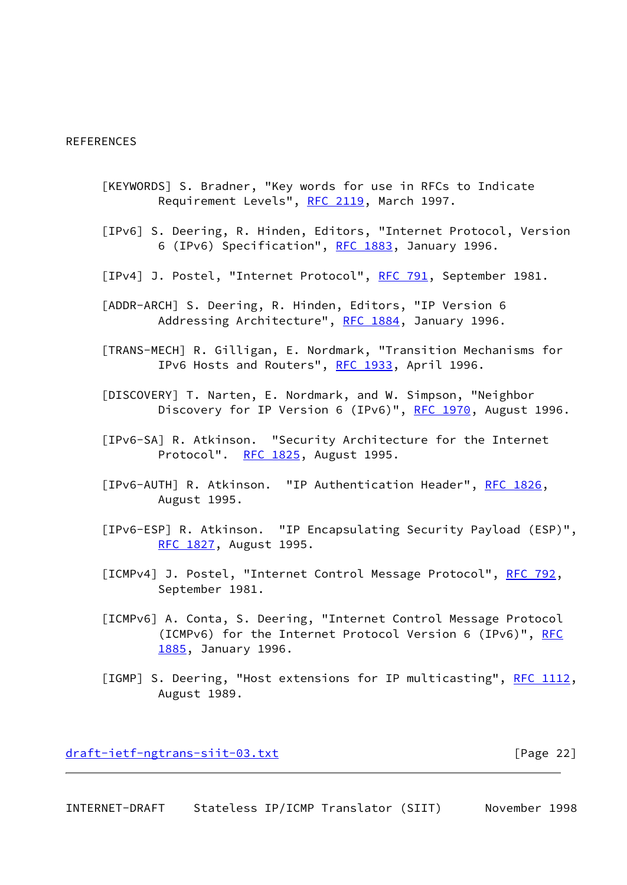#### **REFERENCES**

- <span id="page-24-4"></span> [KEYWORDS] S. Bradner, "Key words for use in RFCs to Indicate Requirement Levels", [RFC 2119,](https://datatracker.ietf.org/doc/pdf/rfc2119) March 1997.
- <span id="page-24-2"></span> [IPv6] S. Deering, R. Hinden, Editors, "Internet Protocol, Version 6 (IPv6) Specification", [RFC 1883,](https://datatracker.ietf.org/doc/pdf/rfc1883) January 1996.
- [IPv4] J. Postel, "Internet Protocol", [RFC 791](https://datatracker.ietf.org/doc/pdf/rfc791), September 1981.
- <span id="page-24-3"></span> [ADDR-ARCH] S. Deering, R. Hinden, Editors, "IP Version 6 Addressing Architecture", [RFC 1884,](https://datatracker.ietf.org/doc/pdf/rfc1884) January 1996.
- <span id="page-24-1"></span> [TRANS-MECH] R. Gilligan, E. Nordmark, "Transition Mechanisms for IPv6 Hosts and Routers", [RFC 1933,](https://datatracker.ietf.org/doc/pdf/rfc1933) April 1996.
- [DISCOVERY] T. Narten, E. Nordmark, and W. Simpson, "Neighbor Discovery for IP Version 6 (IPv6)", [RFC 1970](https://datatracker.ietf.org/doc/pdf/rfc1970), August 1996.
- [IPv6-SA] R. Atkinson. "Security Architecture for the Internet Protocol". [RFC 1825](https://datatracker.ietf.org/doc/pdf/rfc1825), August 1995.
- [IPv6-AUTH] R. Atkinson. "IP Authentication Header", [RFC 1826](https://datatracker.ietf.org/doc/pdf/rfc1826), August 1995.
- [IPv6-ESP] R. Atkinson. "IP Encapsulating Security Payload (ESP)", [RFC 1827](https://datatracker.ietf.org/doc/pdf/rfc1827), August 1995.
- [ICMPv4] J. Postel, "Internet Control Message Protocol", [RFC 792](https://datatracker.ietf.org/doc/pdf/rfc792), September 1981.
- [ICMPv6] A. Conta, S. Deering, "Internet Control Message Protocol (ICMPv6) for the Internet Protocol Version 6 (IPv6)", [RFC](https://datatracker.ietf.org/doc/pdf/rfc1885) [1885](https://datatracker.ietf.org/doc/pdf/rfc1885), January 1996.
- [IGMP] S. Deering, "Host extensions for IP multicasting", [RFC 1112,](https://datatracker.ietf.org/doc/pdf/rfc1112) August 1989.

[draft-ietf-ngtrans-siit-03.txt](https://datatracker.ietf.org/doc/pdf/draft-ietf-ngtrans-siit-03.txt) [Page 22]

<span id="page-24-0"></span>INTERNET-DRAFT Stateless IP/ICMP Translator (SIIT) November 1998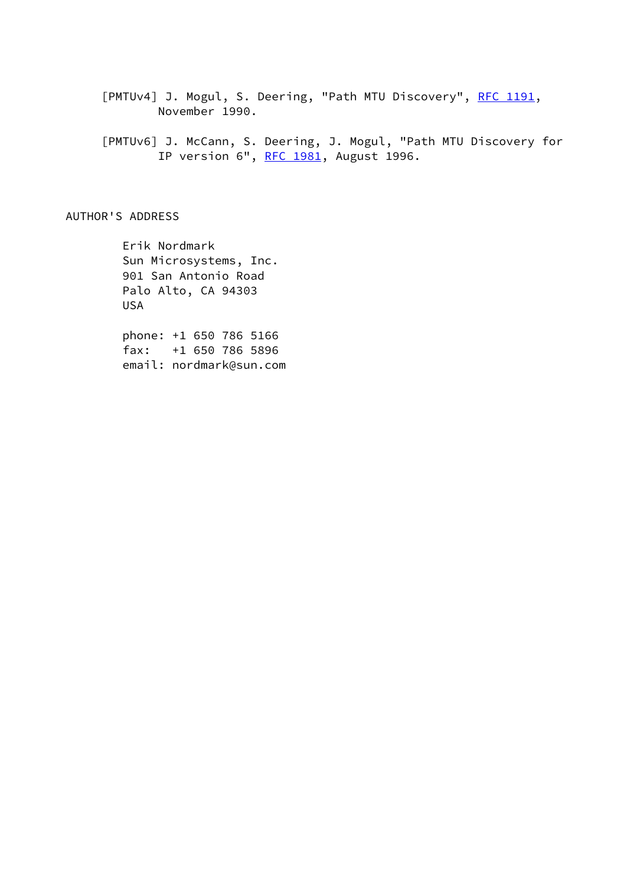<span id="page-25-0"></span>[PMTUv4] J. Mogul, S. Deering, "Path MTU Discovery", [RFC 1191,](https://datatracker.ietf.org/doc/pdf/rfc1191) November 1990.

 [PMTUv6] J. McCann, S. Deering, J. Mogul, "Path MTU Discovery for IP version 6", [RFC 1981](https://datatracker.ietf.org/doc/pdf/rfc1981), August 1996.

AUTHOR'S ADDRESS

 Erik Nordmark Sun Microsystems, Inc. 901 San Antonio Road Palo Alto, CA 94303 USA

 phone: +1 650 786 5166 fax: +1 650 786 5896 email: nordmark@sun.com